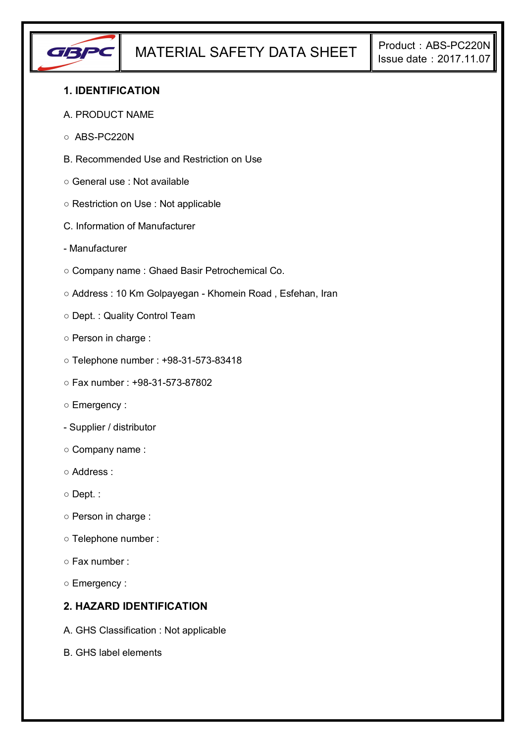

## **1. IDENTIFICATION**

#### A. PRODUCT NAME

- ABS-PC220N
- B. Recommended Use and Restriction on Use
- General use : Not available
- Restriction on Use : Not applicable
- C. Information of Manufacturer
- Manufacturer
- Company name : Ghaed Basir Petrochemical Co.
- Address : 10 Km Golpayegan Khomein Road , Esfehan, Iran
- Dept. : Quality Control Team
- Person in charge :
- Telephone number : +98-31-573-83418
- Fax number : +98-31-573-87802
- Emergency :
- Supplier / distributor
- Company name :
- Address :
- Dept. :
- Person in charge :
- Telephone number :
- Fax number :
- Emergency :

## **2. HAZARD IDENTIFICATION**

- A. GHS Classification : Not applicable
- B. GHS label elements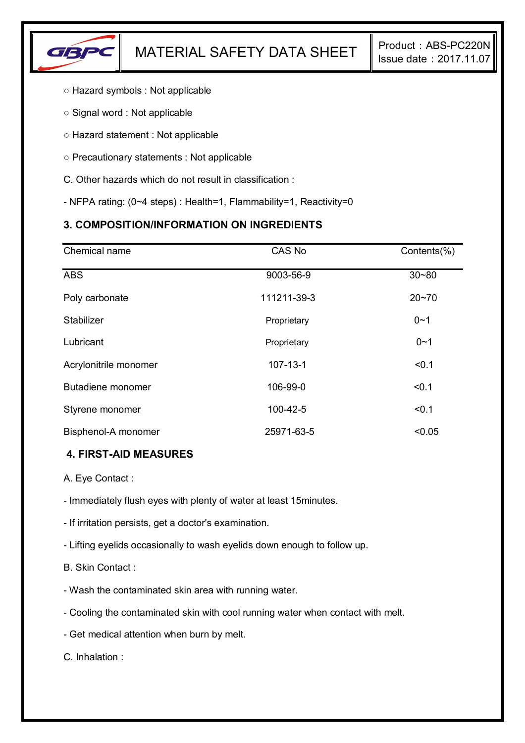

- Hazard symbols : Not applicable
- Signal word : Not applicable
- Hazard statement : Not applicable
- Precautionary statements : Not applicable
- C. Other hazards which do not result in classification :
- NFPA rating: (0~4 steps) : Health=1, Flammability=1, Reactivity=0

# **3. COMPOSITION/INFORMATION ON INGREDIENTS**

| Chemical name         | CAS No         | Contents(%) |
|-----------------------|----------------|-------------|
| <b>ABS</b>            | 9003-56-9      | $30 - 80$   |
| Poly carbonate        | 111211-39-3    | $20 - 70$   |
| Stabilizer            | Proprietary    | $0 - 1$     |
| Lubricant             | Proprietary    | $0 - 1$     |
| Acrylonitrile monomer | $107 - 13 - 1$ | < 0.1       |
| Butadiene monomer     | 106-99-0       | < 0.1       |
| Styrene monomer       | 100-42-5       | < 0.1       |
| Bisphenol-A monomer   | 25971-63-5     | < 0.05      |

### **4. FIRST-AID MEASURES**

- A. Eye Contact :
- Immediately flush eyes with plenty of water at least 15minutes.
- If irritation persists, get a doctor's examination.
- Lifting eyelids occasionally to wash eyelids down enough to follow up.
- B. Skin Contact :
- Wash the contaminated skin area with running water.
- Cooling the contaminated skin with cool running water when contact with melt.
- Get medical attention when burn by melt.

C. Inhalation :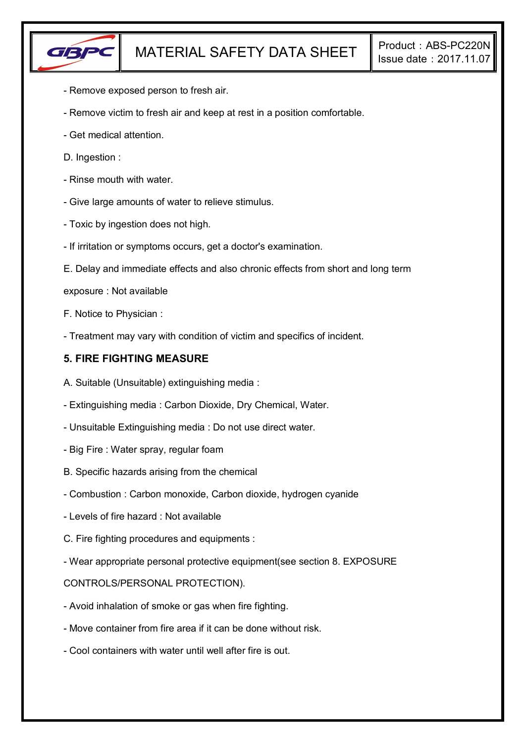

- Remove exposed person to fresh air.
- Remove victim to fresh air and keep at rest in a position comfortable.
- Get medical attention.
- D. Ingestion :
- Rinse mouth with water.
- Give large amounts of water to relieve stimulus.
- Toxic by ingestion does not high.
- If irritation or symptoms occurs, get a doctor's examination.
- E. Delay and immediate effects and also chronic effects from short and long term
- exposure : Not available
- F. Notice to Physician :
- Treatment may vary with condition of victim and specifics of incident.

## **5. FIRE FIGHTING MEASURE**

- A. Suitable (Unsuitable) extinguishing media :
- Extinguishing media : Carbon Dioxide, Dry Chemical, Water.
- Unsuitable Extinguishing media : Do not use direct water.
- Big Fire : Water spray, regular foam
- B. Specific hazards arising from the chemical
- Combustion : Carbon monoxide, Carbon dioxide, hydrogen cyanide
- Levels of fire hazard : Not available
- C. Fire fighting procedures and equipments :
- Wear appropriate personal protective equipment(see section 8. EXPOSURE

### CONTROLS/PERSONAL PROTECTION).

- Avoid inhalation of smoke or gas when fire fighting.
- Move container from fire area if it can be done without risk.
- Cool containers with water until well after fire is out.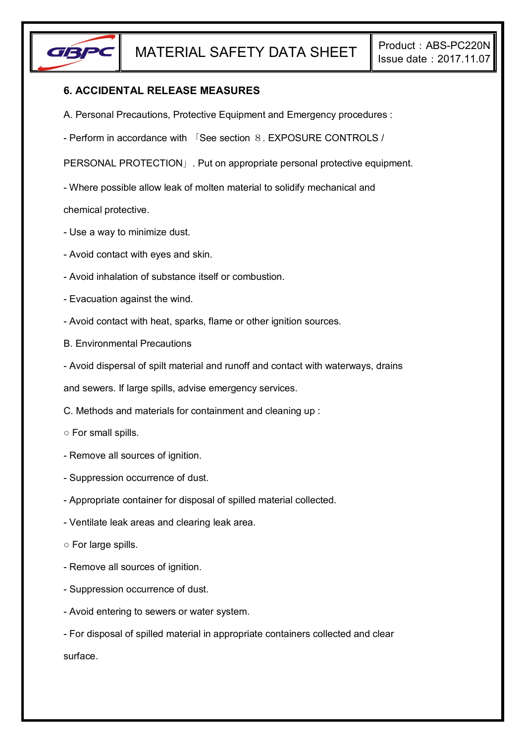

## **6. ACCIDENTAL RELEASE MEASURES**

- A. Personal Precautions, Protective Equipment and Emergency procedures :
- Perform in accordance with 「See section 8. EXPOSURE CONTROLS /

PERSONAL PROTECTION」. Put on appropriate personal protective equipment.

- Where possible allow leak of molten material to solidify mechanical and

chemical protective.

- Use a way to minimize dust.
- Avoid contact with eyes and skin.
- Avoid inhalation of substance itself or combustion.
- Evacuation against the wind.
- Avoid contact with heat, sparks, flame or other ignition sources.
- B. Environmental Precautions
- Avoid dispersal of spilt material and runoff and contact with waterways, drains

and sewers. If large spills, advise emergency services.

- C. Methods and materials for containment and cleaning up :
- For small spills.
- Remove all sources of ignition.
- Suppression occurrence of dust.
- Appropriate container for disposal of spilled material collected.
- Ventilate leak areas and clearing leak area.
- For large spills.
- Remove all sources of ignition.
- Suppression occurrence of dust.
- Avoid entering to sewers or water system.
- For disposal of spilled material in appropriate containers collected and clear surface.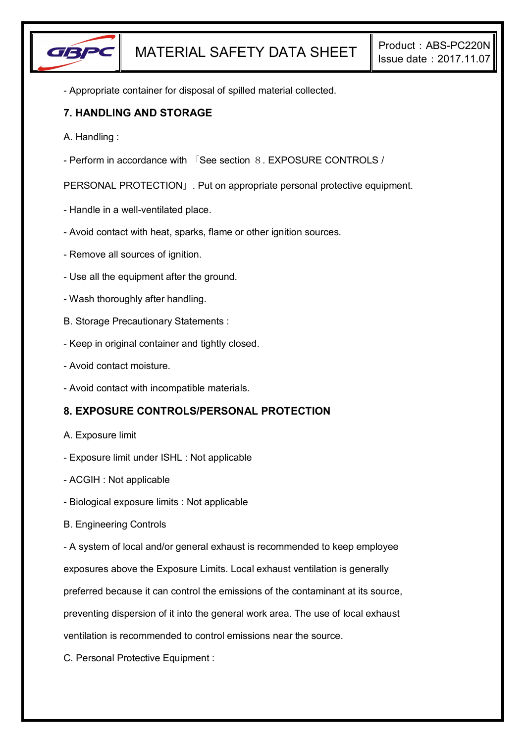

- Appropriate container for disposal of spilled material collected.

## **7. HANDLING AND STORAGE**

- A. Handling :
- Perform in accordance with 「See section 8. EXPOSURE CONTROLS /

PERSONAL PROTECTION」. Put on appropriate personal protective equipment.

- Handle in a well-ventilated place.
- Avoid contact with heat, sparks, flame or other ignition sources.
- Remove all sources of ignition.
- Use all the equipment after the ground.
- Wash thoroughly after handling.
- B. Storage Precautionary Statements :
- Keep in original container and tightly closed.
- Avoid contact moisture.
- Avoid contact with incompatible materials.

# **8. EXPOSURE CONTROLS/PERSONAL PROTECTION**

- A. Exposure limit
- Exposure limit under ISHL : Not applicable
- ACGIH : Not applicable
- Biological exposure limits : Not applicable
- B. Engineering Controls

- A system of local and/or general exhaust is recommended to keep employee

exposures above the Exposure Limits. Local exhaust ventilation is generally

preferred because it can control the emissions of the contaminant at its source,

preventing dispersion of it into the general work area. The use of local exhaust

ventilation is recommended to control emissions near the source.

C. Personal Protective Equipment :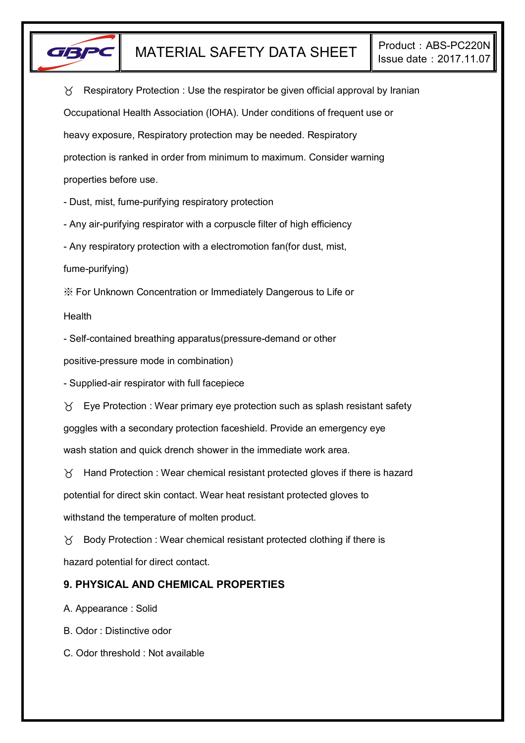

 $\gamma$  Respiratory Protection : Use the respirator be given official approval by Iranian Occupational Health Association (IOHA). Under conditions of frequent use or heavy exposure, Respiratory protection may be needed. Respiratory protection is ranked in order from minimum to maximum. Consider warning properties before use.

- Dust, mist, fume-purifying respiratory protection

- Any air-purifying respirator with a corpuscle filter of high efficiency

- Any respiratory protection with a electromotion fan(for dust, mist,

fume-purifying)

※ For Unknown Concentration or Immediately Dangerous to Life or

Health

- Self-contained breathing apparatus(pressure-demand or other

positive-pressure mode in combination)

- Supplied-air respirator with full facepiece

 $\forall$  Eye Protection : Wear primary eye protection such as splash resistant safety goggles with a secondary protection faceshield. Provide an emergency eye wash station and quick drench shower in the immediate work area.

 $\gamma$  Hand Protection : Wear chemical resistant protected gloves if there is hazard potential for direct skin contact. Wear heat resistant protected gloves to withstand the temperature of molten product.

 $\gamma$  Body Protection : Wear chemical resistant protected clothing if there is hazard potential for direct contact.

# **9. PHYSICAL AND CHEMICAL PROPERTIES**

A. Appearance : Solid

B. Odor : Distinctive odor

C. Odor threshold : Not available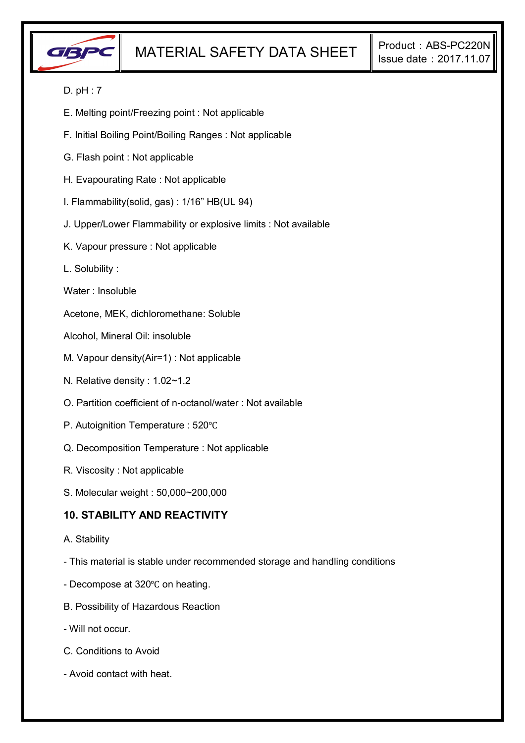

### D. pH : 7

- E. Melting point/Freezing point : Not applicable
- F. Initial Boiling Point/Boiling Ranges : Not applicable
- G. Flash point : Not applicable
- H. Evapourating Rate : Not applicable
- I. Flammability(solid, gas) : 1/16" HB(UL 94)
- J. Upper/Lower Flammability or explosive limits : Not available
- K. Vapour pressure : Not applicable
- L. Solubility :
- Water : Insoluble
- Acetone, MEK, dichloromethane: Soluble
- Alcohol, Mineral Oil: insoluble
- M. Vapour density(Air=1) : Not applicable
- N. Relative density : 1.02~1.2
- O. Partition coefficient of n-octanol/water : Not available
- P. Autoignition Temperature : 520℃
- Q. Decomposition Temperature : Not applicable
- R. Viscosity : Not applicable
- S. Molecular weight : 50,000~200,000

### **10. STABILITY AND REACTIVITY**

- A. Stability
- This material is stable under recommended storage and handling conditions
- Decompose at 320℃ on heating.
- B. Possibility of Hazardous Reaction
- Will not occur.
- C. Conditions to Avoid
- Avoid contact with heat.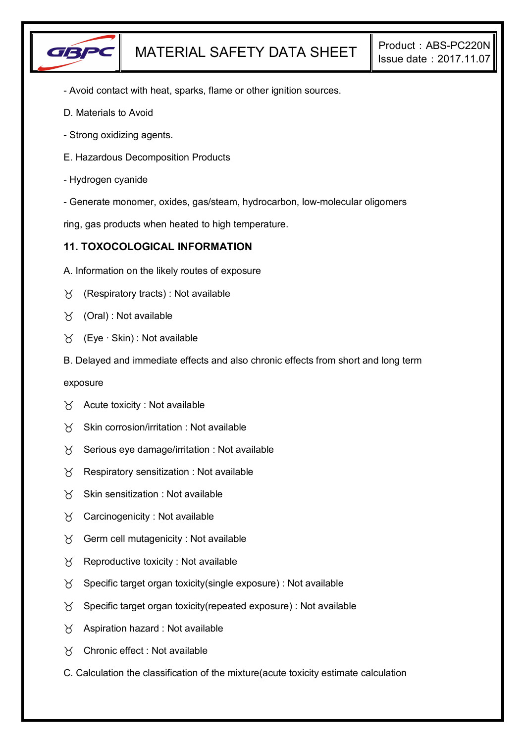

- Avoid contact with heat, sparks, flame or other ignition sources.
- D. Materials to Avoid
- Strong oxidizing agents.
- E. Hazardous Decomposition Products
- Hydrogen cyanide
- Generate monomer, oxides, gas/steam, hydrocarbon, low-molecular oligomers

ring, gas products when heated to high temperature.

### **11. TOXOCOLOGICAL INFORMATION**

- A. Information on the likely routes of exposure
- $\gamma$  (Respiratory tracts) : Not available
- $\forall$  (Oral): Not available
- (Eye ∙ Skin) : Not available
- B. Delayed and immediate effects and also chronic effects from short and long term

exposure

- $\forall$  Acute toxicity : Not available
- $X$  Skin corrosion/irritation : Not available
- $\chi$  Serious eye damage/irritation : Not available
- $\chi$  Respiratory sensitization : Not available
- $X$  Skin sensitization : Not available
- $\gamma$  Carcinogenicity : Not available
- $\gamma$  Germ cell mutagenicity : Not available
- $\gamma$  Reproductive toxicity : Not available
- $\gamma$  Specific target organ toxicity(single exposure) : Not available
- $\gamma$  Specific target organ toxicity (repeated exposure) : Not available
- $\gamma$  Aspiration hazard : Not available
- Chronic effect : Not available
- C. Calculation the classification of the mixture(acute toxicity estimate calculation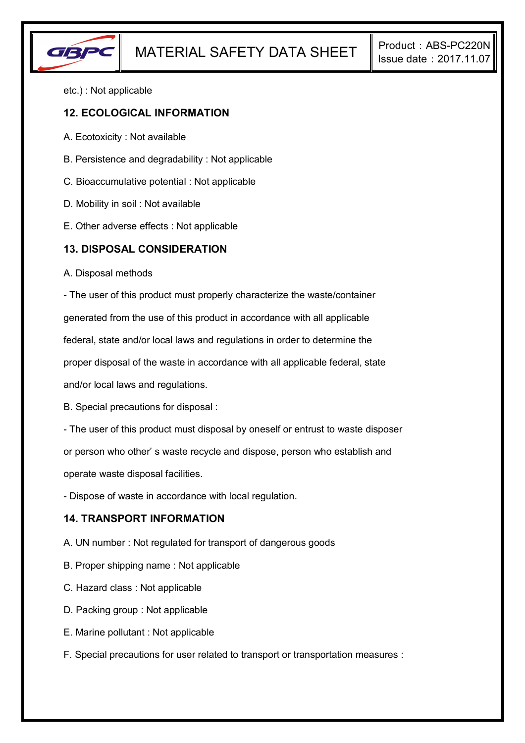

etc.) : Not applicable

### **12. ECOLOGICAL INFORMATION**

- A. Ecotoxicity : Not available
- B. Persistence and degradability : Not applicable
- C. Bioaccumulative potential : Not applicable
- D. Mobility in soil : Not available
- E. Other adverse effects : Not applicable

### **13. DISPOSAL CONSIDERATION**

A. Disposal methods

- The user of this product must properly characterize the waste/container

generated from the use of this product in accordance with all applicable

federal, state and/or local laws and regulations in order to determine the

proper disposal of the waste in accordance with all applicable federal, state

and/or local laws and regulations.

B. Special precautions for disposal :

- The user of this product must disposal by oneself or entrust to waste disposer

or person who other' s waste recycle and dispose, person who establish and

operate waste disposal facilities.

- Dispose of waste in accordance with local regulation.

## **14. TRANSPORT INFORMATION**

- A. UN number : Not regulated for transport of dangerous goods
- B. Proper shipping name : Not applicable
- C. Hazard class : Not applicable
- D. Packing group : Not applicable
- E. Marine pollutant : Not applicable
- F. Special precautions for user related to transport or transportation measures :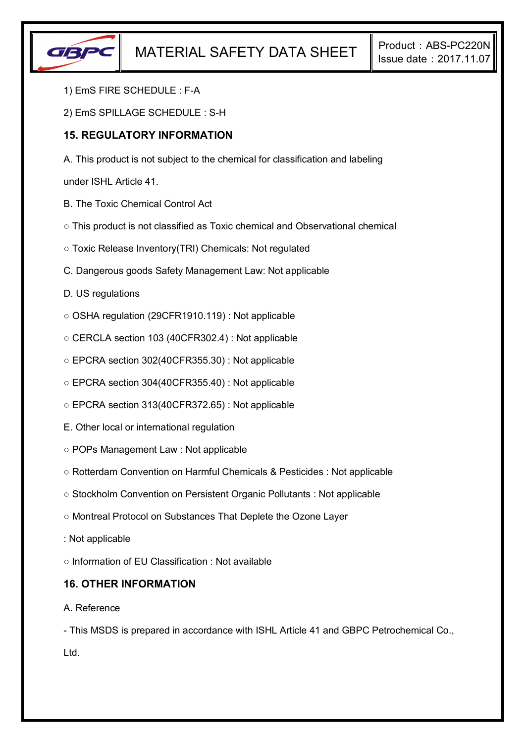

- 1) EmS FIRE SCHEDULE : F-A
- 2) EmS SPILLAGE SCHEDULE : S-H

## **15. REGULATORY INFORMATION**

A. This product is not subject to the chemical for classification and labeling

under ISHL Article 41.

- B. The Toxic Chemical Control Act
- This product is not classified as Toxic chemical and Observational chemical
- Toxic Release Inventory(TRI) Chemicals: Not regulated
- C. Dangerous goods Safety Management Law: Not applicable
- D. US regulations
- OSHA regulation (29CFR1910.119) : Not applicable
- CERCLA section 103 (40CFR302.4) : Not applicable
- EPCRA section 302(40CFR355.30) : Not applicable
- EPCRA section 304(40CFR355.40) : Not applicable
- EPCRA section 313(40CFR372.65) : Not applicable
- E. Other local or international regulation
- POPs Management Law : Not applicable
- Rotterdam Convention on Harmful Chemicals & Pesticides : Not applicable
- Stockholm Convention on Persistent Organic Pollutants : Not applicable
- Montreal Protocol on Substances That Deplete the Ozone Layer
- : Not applicable

○ Information of EU Classification : Not available

### **16. OTHER INFORMATION**

#### A. Reference

- This MSDS is prepared in accordance with ISHL Article 41 and GBPC Petrochemical Co., Ltd.